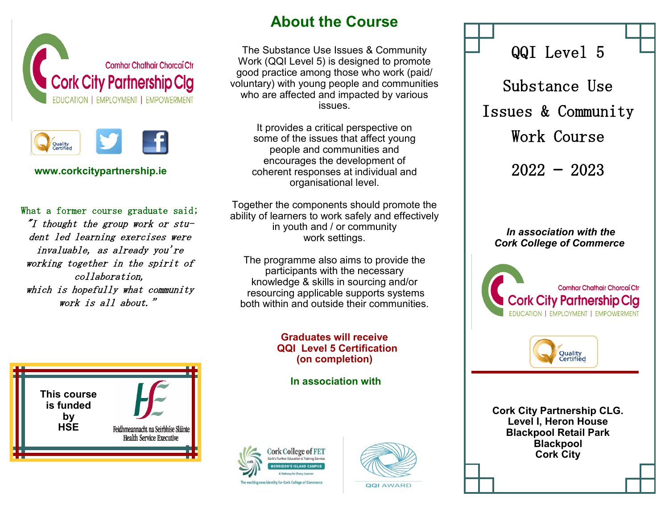



**www.corkcitypartnership.ie** 

What a former course graduate said; "I thought the group work or student led learning exercises were invaluable, as already you're working together in the spirit of collaboration, which is hopefully what community work is all about."



# **About the Course**

The Substance Use Issues & Community Work (QQI Level 5) is designed to promote good practice among those who work (paid/ voluntary) with young people and communities who are affected and impacted by various issues.

It provides a critical perspective on some of the issues that affect young people and communities and encourages the development of coherent responses at individual and organisational level.

Together the components should promote the ability of learners to work safely and effectively in youth and / or community work settings.

The programme also aims to provide the participants with the necessary knowledge & skills in sourcing and/or resourcing applicable supports systems both within and outside their communities.

### **Graduates will receive QQI Level 5 Certification (on completion)**

**In association with** 





Issues & Community Work Course 2022 — 2023

QQI Level 5

Substance Use

### *In association with the Cork College of Commerce*





**Cork City Partnership CLG. Level I, Heron House Blackpool Retail Park Blackpool Cork City**

**QQI AWARD**